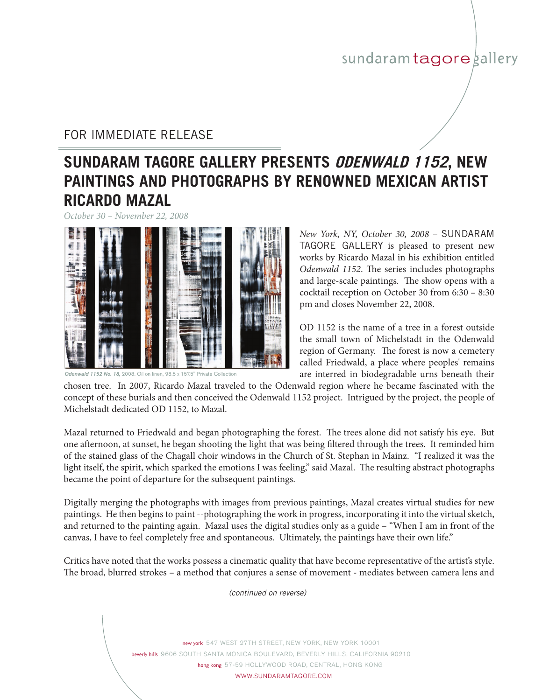## sundaram tagore gallery

### FOR IMMEDIATE RELEASE

# **SUNDARAM TAGORE GALLERY PRESENTS odenwald 1152, new paintings and photographs by renowned mexican artist ricardo mazal**

*October 30 – November 22, 2008*



*Odenwald 1152 No. 18,* 2008. Oil on linen, 98.5 x 157.5" Private Collection

*New York, NY, October 30, 2008 - SUNDARAM* TAGORE GALLERY is pleased to present new works by Ricardo Mazal in his exhibition entitled *Odenwald 1152*. The series includes photographs and large-scale paintings. The show opens with a cocktail reception on October 30 from 6:30 – 8:30 pm and closes November 22, 2008.

OD 1152 is the name of a tree in a forest outside the small town of Michelstadt in the Odenwald region of Germany. The forest is now a cemetery called Friedwald, a place where peoples' remains are interred in biodegradable urns beneath their

chosen tree. In 2007, Ricardo Mazal traveled to the Odenwald region where he became fascinated with the concept of these burials and then conceived the Odenwald 1152 project. Intrigued by the project, the people of Michelstadt dedicated OD 1152, to Mazal.

Mazal returned to Friedwald and began photographing the forest. The trees alone did not satisfy his eye. But one afternoon, at sunset, he began shooting the light that was being filtered through the trees. It reminded him of the stained glass of the Chagall choir windows in the Church of St. Stephan in Mainz. "I realized it was the light itself, the spirit, which sparked the emotions I was feeling," said Mazal. The resulting abstract photographs became the point of departure for the subsequent paintings.

Digitally merging the photographs with images from previous paintings, Mazal creates virtual studies for new paintings. He then begins to paint --photographing the work in progress, incorporating it into the virtual sketch, and returned to the painting again. Mazal uses the digital studies only as a guide – "When I am in front of the canvas, I have to feel completely free and spontaneous. Ultimately, the paintings have their own life."

Critics have noted that the works possess a cinematic quality that have become representative of the artist's style. The broad, blurred strokes – a method that conjures a sense of movement - mediates between camera lens and

*(continued on reverse)*

new york 547 WEST 27TH STREET, NEW YORK, NEW YORK 10001 beverly hills 9606 South Santa Monica BOULEVARD, Beverly Hills, CALIFORNIA 90210 hong kong 57-59 HOLLYWOOD ROAD, CENTRAL, HONG KONG WWW.SUNDARAMTAGORE.COM